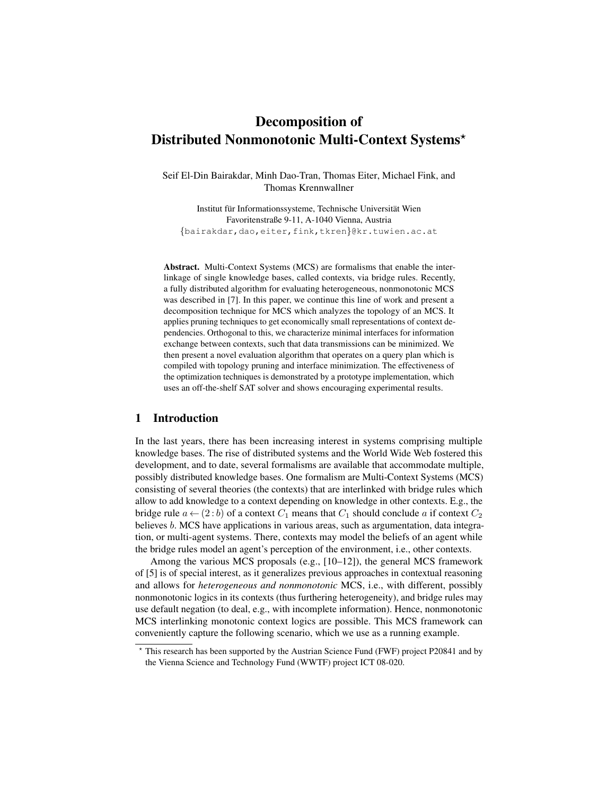# Decomposition of Distributed Nonmonotonic Multi-Context Systems?

Seif El-Din Bairakdar, Minh Dao-Tran, Thomas Eiter, Michael Fink, and Thomas Krennwallner

Institut für Informationssysteme, Technische Universität Wien Favoritenstraße 9-11, A-1040 Vienna, Austria {bairakdar,dao,eiter,fink,tkren}@kr.tuwien.ac.at

Abstract. Multi-Context Systems (MCS) are formalisms that enable the interlinkage of single knowledge bases, called contexts, via bridge rules. Recently, a fully distributed algorithm for evaluating heterogeneous, nonmonotonic MCS was described in [7]. In this paper, we continue this line of work and present a decomposition technique for MCS which analyzes the topology of an MCS. It applies pruning techniques to get economically small representations of context dependencies. Orthogonal to this, we characterize minimal interfaces for information exchange between contexts, such that data transmissions can be minimized. We then present a novel evaluation algorithm that operates on a query plan which is compiled with topology pruning and interface minimization. The effectiveness of the optimization techniques is demonstrated by a prototype implementation, which uses an off-the-shelf SAT solver and shows encouraging experimental results.

#### 1 Introduction

In the last years, there has been increasing interest in systems comprising multiple knowledge bases. The rise of distributed systems and the World Wide Web fostered this development, and to date, several formalisms are available that accommodate multiple, possibly distributed knowledge bases. One formalism are Multi-Context Systems (MCS) consisting of several theories (the contexts) that are interlinked with bridge rules which allow to add knowledge to a context depending on knowledge in other contexts. E.g., the bridge rule  $a \leftarrow (2 : b)$  of a context  $C_1$  means that  $C_1$  should conclude a if context  $C_2$ believes b. MCS have applications in various areas, such as argumentation, data integration, or multi-agent systems. There, contexts may model the beliefs of an agent while the bridge rules model an agent's perception of the environment, i.e., other contexts.

Among the various MCS proposals (e.g.,  $[10-12]$ ), the general MCS framework of [5] is of special interest, as it generalizes previous approaches in contextual reasoning and allows for *heterogeneous and nonmonotonic* MCS, i.e., with different, possibly nonmonotonic logics in its contexts (thus furthering heterogeneity), and bridge rules may use default negation (to deal, e.g., with incomplete information). Hence, nonmonotonic MCS interlinking monotonic context logics are possible. This MCS framework can conveniently capture the following scenario, which we use as a running example.

<sup>?</sup> This research has been supported by the Austrian Science Fund (FWF) project P20841 and by the Vienna Science and Technology Fund (WWTF) project ICT 08-020.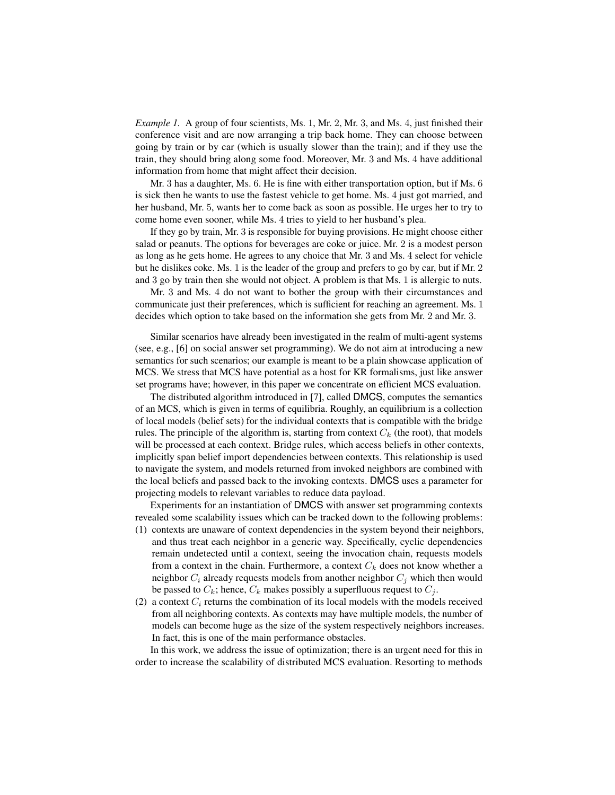*Example 1.* A group of four scientists, Ms. 1, Mr. 2, Mr. 3, and Ms. 4, just finished their conference visit and are now arranging a trip back home. They can choose between going by train or by car (which is usually slower than the train); and if they use the train, they should bring along some food. Moreover, Mr. 3 and Ms. 4 have additional information from home that might affect their decision.

Mr. 3 has a daughter, Ms. 6. He is fine with either transportation option, but if Ms. 6 is sick then he wants to use the fastest vehicle to get home. Ms. 4 just got married, and her husband, Mr. 5, wants her to come back as soon as possible. He urges her to try to come home even sooner, while Ms. 4 tries to yield to her husband's plea.

If they go by train, Mr. 3 is responsible for buying provisions. He might choose either salad or peanuts. The options for beverages are coke or juice. Mr. 2 is a modest person as long as he gets home. He agrees to any choice that Mr. 3 and Ms. 4 select for vehicle but he dislikes coke. Ms. 1 is the leader of the group and prefers to go by car, but if Mr. 2 and 3 go by train then she would not object. A problem is that Ms. 1 is allergic to nuts.

Mr. 3 and Ms. 4 do not want to bother the group with their circumstances and communicate just their preferences, which is sufficient for reaching an agreement. Ms. 1 decides which option to take based on the information she gets from Mr. 2 and Mr. 3.

Similar scenarios have already been investigated in the realm of multi-agent systems (see, e.g., [6] on social answer set programming). We do not aim at introducing a new semantics for such scenarios; our example is meant to be a plain showcase application of MCS. We stress that MCS have potential as a host for KR formalisms, just like answer set programs have; however, in this paper we concentrate on efficient MCS evaluation.

The distributed algorithm introduced in [7], called DMCS, computes the semantics of an MCS, which is given in terms of equilibria. Roughly, an equilibrium is a collection of local models (belief sets) for the individual contexts that is compatible with the bridge rules. The principle of the algorithm is, starting from context  $C_k$  (the root), that models will be processed at each context. Bridge rules, which access beliefs in other contexts, implicitly span belief import dependencies between contexts. This relationship is used to navigate the system, and models returned from invoked neighbors are combined with the local beliefs and passed back to the invoking contexts. DMCS uses a parameter for projecting models to relevant variables to reduce data payload.

Experiments for an instantiation of DMCS with answer set programming contexts revealed some scalability issues which can be tracked down to the following problems:

- (1) contexts are unaware of context dependencies in the system beyond their neighbors, and thus treat each neighbor in a generic way. Specifically, cyclic dependencies remain undetected until a context, seeing the invocation chain, requests models from a context in the chain. Furthermore, a context  $C_k$  does not know whether a neighbor  $C_i$  already requests models from another neighbor  $C_j$  which then would be passed to  $C_k$ ; hence,  $C_k$  makes possibly a superfluous request to  $C_j$ .
- (2) a context  $C_i$  returns the combination of its local models with the models received from all neighboring contexts. As contexts may have multiple models, the number of models can become huge as the size of the system respectively neighbors increases. In fact, this is one of the main performance obstacles.

In this work, we address the issue of optimization; there is an urgent need for this in order to increase the scalability of distributed MCS evaluation. Resorting to methods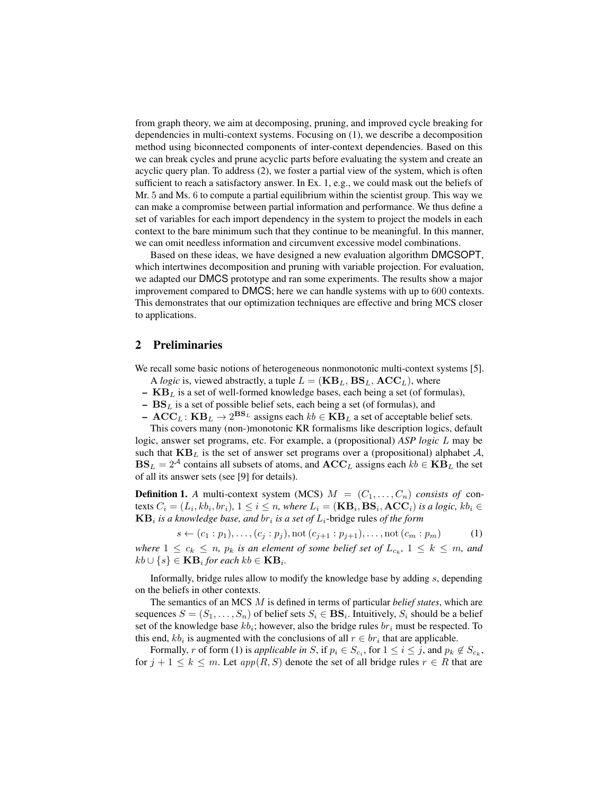from graph theory, we aim at decomposing, pruning, and improved cycle breaking for dependencies in multi-context systems. Focusing on (1), we describe a decomposition method using biconnected components of inter-context dependencies. Based on this we can break cycles and prune acyclic parts before evaluating the system and create an acyclic query plan. To address (2), we foster a partial view of the system, which is often sufficient to reach a satisfactory answer. In Ex. 1, e.g., we could mask out the beliefs of Mr. 5 and Ms. 6 to compute a partial equilibrium within the scientist group. This way we can make a compromise between partial information and performance. We thus define a set of variables for each import dependency in the system to project the models in each context to the bare minimum such that they continue to be meaningful. In this manner, we can omit needless information and circumvent excessive model combinations.

Based on these ideas, we have designed a new evaluation algorithm DMCSOPT, which intertwines decomposition and pruning with variable projection. For evaluation, we adapted our DMCS prototype and ran some experiments. The results show a major improvement compared to DMCS; here we can handle systems with up to 600 contexts. This demonstrates that our optimization techniques are effective and bring MCS closer to applications.

#### 2 Preliminaries

We recall some basic notions of heterogeneous nonmonotonic multi-context systems [5].

- A *logic* is, viewed abstractly, a tuple  $L = (KB_L, BS_L, ACC_L)$ , where
- $-$  KB<sub>L</sub> is a set of well-formed knowledge bases, each being a set (of formulas),
- $-$  BS $_L$  is a set of possible belief sets, each being a set (of formulas), and
- $-$  ACC<sub>L</sub>:  $KB_L \rightarrow 2^{BS_L}$  assigns each  $kb \in KB_L$  a set of acceptable belief sets.

This covers many (non-)monotonic KR formalisms like description logics, default logic, answer set programs, etc. For example, a (propositional) *ASP logic* L may be such that  $KB_L$  is the set of answer set programs over a (propositional) alphabet A,  $\mathbf{BS}_L = 2^{\mathcal{A}}$  contains all subsets of atoms, and  $\mathbf{ACC}_L$  assigns each  $kb \in \mathbf{KB}_L$  the set of all its answer sets (see [9] for details).

**Definition 1.** A multi-context system (MCS)  $M = (C_1, \ldots, C_n)$  consists of contexts  $C_i=(L_i,kb_i,br_i),\,1\leq i\leq n,$  where  $L_i=({\bf KB}_i,{\bf BS}_i,{\bf ACC}_i)$  is a logic,  $kb_i\in$  $KB_i$  is a knowledge base, and  $br_i$  is a set of  $L_i$ -bridge rules of the form

$$
s \leftarrow (c_1 : p_1), \dots, (c_j : p_j), \text{not } (c_{j+1} : p_{j+1}), \dots, \text{not } (c_m : p_m)
$$
(1)

*where*  $1 \leq c_k \leq n$ ,  $p_k$  *is an element of some belief set of*  $L_{c_k}$ ,  $1 \leq k \leq m$ , and  $kb \cup \{s\} \in \mathbf{KB}_i$  for each  $kb \in \mathbf{KB}_i$ .

Informally, bridge rules allow to modify the knowledge base by adding s, depending on the beliefs in other contexts.

The semantics of an MCS M is defined in terms of particular *belief states*, which are sequences  $S = (S_1, \ldots, S_n)$  of belief sets  $S_i \in \mathbf{BS}_i.$  Intuitively,  $S_i$  should be a belief set of the knowledge base  $kb_i$ ; however, also the bridge rules  $br_i$  must be respected. To this end,  $kb_i$  is augmented with the conclusions of all  $r \in br_i$  that are applicable.

Formally, r of form (1) is *applicable in* S, if  $p_i \in S_{c_i}$ , for  $1 \le i \le j$ , and  $p_k \notin S_{c_k}$ , for  $j + 1 \leq k \leq m$ . Let  $app(R, S)$  denote the set of all bridge rules  $r \in R$  that are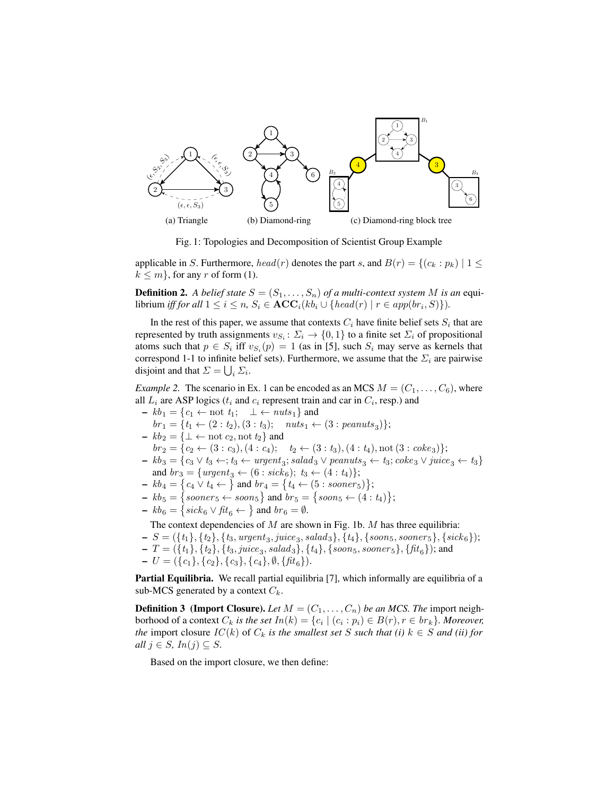

Fig. 1: Topologies and Decomposition of Scientist Group Example

applicable in S. Furthermore, head(r) denotes the part s, and  $B(r) = \{(c_k : p_k) | 1 \leq$  $k \leq m$ , for any r of form (1).

**Definition 2.** A belief state  $S = (S_1, \ldots, S_n)$  of a multi-context system M is an equilibrium *iff for all*  $1 \leq i \leq n$ ,  $S_i \in \text{ACC}_i(kb_i \cup \{head(r) \mid r \in app(br_i, S)\}).$ 

In the rest of this paper, we assume that contexts  $C_i$  have finite belief sets  $S_i$  that are represented by truth assignments  $v_{S_i} \colon \Sigma_i \to \{0,1\}$  to a finite set  $\Sigma_i$  of propositional atoms such that  $p \in S_i$  iff  $v_{S_i}(p) = 1$  (as in [5], such  $S_i$  may serve as kernels that correspond 1-1 to infinite belief sets). Furthermore, we assume that the  $\Sigma_i$  are pairwise disjoint and that  $\Sigma = \bigcup_i \Sigma_i$ .

*Example 2.* The scenario in Ex. 1 can be encoded as an MCS  $M = (C_1, \ldots, C_6)$ , where all  $L_i$  are ASP logics ( $t_i$  and  $c_i$  represent train and car in  $C_i$ , resp.) and

- $kb_1 = \{c_1 \leftarrow not \ t_1; \quad \perp \leftarrow nuts_1\}$  and
- $br_1 = \{t_1 \leftarrow (2 : t_2), (3 : t_3); \quad nuts_1 \leftarrow (3 : peanuts_3)\};$
- $kb_2 = {\perp \leftarrow \text{not } c_2, \text{not } t_2}$  and
- $br_2 = \{c_2 \leftarrow (3 : c_3), (4 : c_4); \quad t_2 \leftarrow (3 : t_3), (4 : t_4), \text{not } (3 : coke_3)\};$
- $kb_3 = \{c_3 \vee t_3 \leftarrow; t_3 \leftarrow \text{upgent}_3; \text{salad}_3 \vee \text{penuts}_3 \leftarrow t_3; \text{coke}_3 \vee \text{juice}_3 \leftarrow t_3\}$
- and  $br_3 = \{ \text{urgent}_3 \leftarrow (6 : \text{sick}_6); t_3 \leftarrow (4 : t_4) \};$  $-kb_4 = \{c_4 \vee t_4 \leftarrow \}$  and  $br_4 = \{t_4 \leftarrow (5: sooner_5)\};$
- 
- $kb_5 = \{sooner_5 \leftarrow soon_5\}$  and  $br_5 = \{soon_5 \leftarrow (4 : t_4)\};$  $-kb_6 = \{sick_6 \vee fit_6 \leftarrow \}$  and  $br_6 = \emptyset$ .
	- The context dependencies of  $M$  are shown in Fig. 1b.  $M$  has three equilibria:
- $-S = (\{t_1\}, \{t_2\}, \{t_3, \text{upgent}_3, \text{juice}_3, \text{salad}_3\}, \{t_4\}, \{\text{soon}_5, \text{sooner}_5\}, \{\text{sick}_6\});$
- $\mathcal{T} = (\{t_1\}, \{t_2\}, \{t_3, juice_3, salad_3\}, \{t_4\}, \{soon_5, sooner_5\}, \{fit_6\});$  and
- $-U = (\{c_1\}, \{c_2\}, \{c_3\}, \{c_4\}, \emptyset, \{fit_6\}).$

Partial Equilibria. We recall partial equilibria [7], which informally are equilibria of a sub-MCS generated by a context  $C_k$ .

**Definition 3** (Import Closure). Let  $M = (C_1, \ldots, C_n)$  be an MCS. The import neighborhood of a context  $C_k$  *is the set*  $In(k) = \{c_i \mid (c_i : p_i) \in B(r), r \in br_k\}$ *. Moreover, the* import closure  $IC(k)$  of  $C_k$  *is the smallest set* S *such that (i)*  $k \in S$  *and (ii) for all*  $j \in S$ *,*  $In(j) \subseteq S$ *.* 

Based on the import closure, we then define: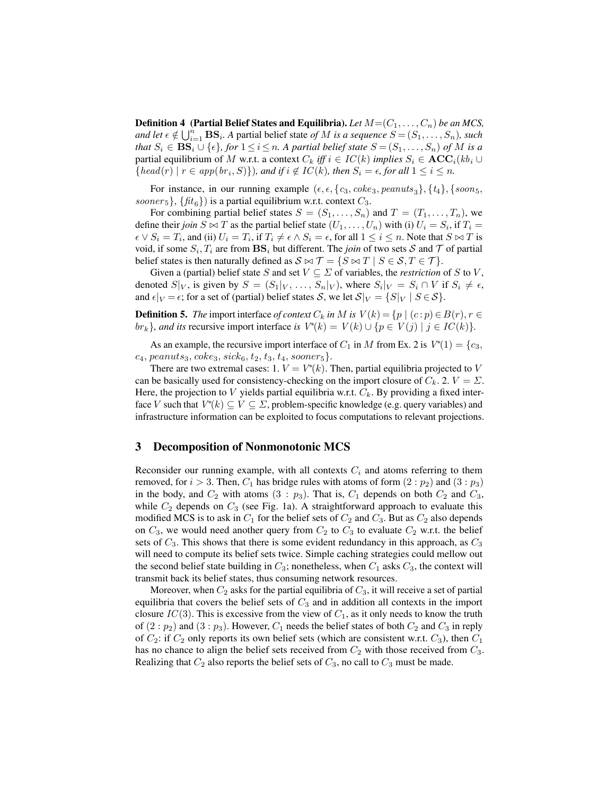**Definition 4** (Partial Belief States and Equilibria). Let  $M = (C_1, \ldots, C_n)$  be an MCS, *and let*  $\epsilon \notin \bigcup_{i=1}^n \mathbf{BS}_i$ . A partial belief state of M is a sequence  $S = (S_1, \ldots, S_n)$ , such *that*  $S_i \in \mathbf{BS}_i \cup \{\epsilon\}$ , for  $1 \leq i \leq n$ . A partial belief state  $S = (S_1, \ldots, S_n)$  of M is a partial equilibrium of M w.r.t. a context  $C_k$  *iff*  $i \in IC(k)$  *implies*  $S_i \in \mathbf{ACC}_i(kb_i \cup$  ${head(r) | r \in app(br_i, S)}$ , and if  $i \notin IC(k)$ , then  $S_i = \epsilon$ , for all  $1 \leq i \leq n$ .

For instance, in our running example  $(\epsilon, \epsilon, \{c_3, coke_3, peanuts_3\}, \{t_4\}, \{soon_5,$ sooner<sub>5</sub>,  $\{ft_{6}\}$  is a partial equilibrium w.r.t. context  $C_{3}$ .

For combining partial belief states  $S = (S_1, \ldots, S_n)$  and  $T = (T_1, \ldots, T_n)$ , we define their *join*  $S \bowtie T$  as the partial belief state  $(U_1, \ldots, U_n)$  with (i)  $U_i = S_i$ , if  $T_i =$  $\epsilon \vee S_i = T_i$ , and (ii)  $U_i = T_i$ , if  $T_i \neq \epsilon \wedge S_i = \epsilon$ , for all  $1 \leq i \leq n$ . Note that  $S \bowtie T$  is void, if some  $S_i, T_i$  are from  $\mathbf{BS}_i$  but different. The *join* of two sets S and T of partial belief states is then naturally defined as  $S \bowtie \mathcal{T} = \{S \bowtie T \mid S \in S, T \in \mathcal{T}\}.$ 

Given a (partial) belief state S and set  $V \subseteq \Sigma$  of variables, the *restriction* of S to V, denoted  $S|_V$ , is given by  $S = (S_1|_V, \ldots, S_n|_V)$ , where  $S_i|_V = S_i \cap V$  if  $S_i \neq \epsilon$ , and  $\epsilon|_V = \epsilon$ ; for a set of (partial) belief states S, we let  $S|_V = \{S|_V \mid S \in S\}$ .

**Definition 5.** *The* import interface *of context*  $C_k$  *in* M *is*  $V(k) = \{p \mid (c : p) \in B(r), r \in \mathbb{R}\}$  $br_k$ , and its recursive import interface is  $V^*(k) = V(k) \cup \{p \in V(j) \mid j \in IC(k)\}.$ 

As an example, the recursive import interface of  $C_1$  in M from Ex. 2 is  $V^*(1) = \{c_3, c_4\}$  $c_4$ , peanuts<sub>3</sub>, coke<sub>3</sub>, sick<sub>6</sub>,  $t_2$ ,  $t_3$ ,  $t_4$ , sooner<sub>5</sub>.

There are two extremal cases: 1.  $V = V^*(k)$ . Then, partial equilibria projected to V can be basically used for consistency-checking on the import closure of  $C_k$ . 2.  $V = \Sigma$ . Here, the projection to V yields partial equilibria w.r.t.  $C_k$ . By providing a fixed interface V such that  $V^*(k) \subseteq V \subseteq \Sigma$ , problem-specific knowledge (e.g. query variables) and infrastructure information can be exploited to focus computations to relevant projections.

#### 3 Decomposition of Nonmonotonic MCS

Reconsider our running example, with all contexts  $C_i$  and atoms referring to them removed, for  $i > 3$ . Then,  $C_1$  has bridge rules with atoms of form  $(2:p_2)$  and  $(3:p_3)$ in the body, and  $C_2$  with atoms  $(3 : p_3)$ . That is,  $C_1$  depends on both  $C_2$  and  $C_3$ , while  $C_2$  depends on  $C_3$  (see Fig. 1a). A straightforward approach to evaluate this modified MCS is to ask in  $C_1$  for the belief sets of  $C_2$  and  $C_3$ . But as  $C_2$  also depends on  $C_3$ , we would need another query from  $C_2$  to  $C_3$  to evaluate  $C_2$  w.r.t. the belief sets of  $C_3$ . This shows that there is some evident redundancy in this approach, as  $C_3$ will need to compute its belief sets twice. Simple caching strategies could mellow out the second belief state building in  $C_3$ ; nonetheless, when  $C_1$  asks  $C_3$ , the context will transmit back its belief states, thus consuming network resources.

Moreover, when  $C_2$  asks for the partial equilibria of  $C_3$ , it will receive a set of partial equilibria that covers the belief sets of  $C_3$  and in addition all contexts in the import closure  $IC(3)$ . This is excessive from the view of  $C_1$ , as it only needs to know the truth of  $(2:p_2)$  and  $(3:p_3)$ . However,  $C_1$  needs the belief states of both  $C_2$  and  $C_3$  in reply of  $C_2$ : if  $C_2$  only reports its own belief sets (which are consistent w.r.t.  $C_3$ ), then  $C_1$ has no chance to align the belief sets received from  $C_2$  with those received from  $C_3$ . Realizing that  $C_2$  also reports the belief sets of  $C_3$ , no call to  $C_3$  must be made.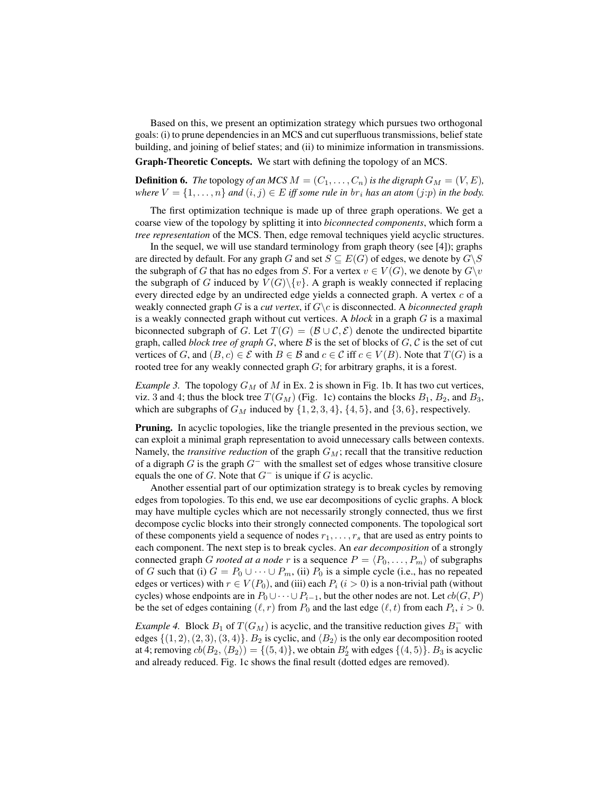Based on this, we present an optimization strategy which pursues two orthogonal goals: (i) to prune dependencies in an MCS and cut superfluous transmissions, belief state building, and joining of belief states; and (ii) to minimize information in transmissions.

Graph-Theoretic Concepts. We start with defining the topology of an MCS.

**Definition 6.** *The* topology *of an MCS*  $M = (C_1, \ldots, C_n)$  *is the digraph*  $G_M = (V, E)$ *, where*  $V = \{1, \ldots, n\}$  *and*  $(i, j) \in E$  *iff some rule in*  $br_i$  *has an atom*  $(j:p)$  *in the body.* 

The first optimization technique is made up of three graph operations. We get a coarse view of the topology by splitting it into *biconnected components*, which form a *tree representation* of the MCS. Then, edge removal techniques yield acyclic structures.

In the sequel, we will use standard terminology from graph theory (see [4]); graphs are directed by default. For any graph G and set  $S \subseteq E(G)$  of edges, we denote by  $G \backslash S$ the subgraph of G that has no edges from S. For a vertex  $v \in V(G)$ , we denote by  $G\backslash v$ the subgraph of G induced by  $V(G) \setminus \{v\}$ . A graph is weakly connected if replacing every directed edge by an undirected edge yields a connected graph. A vertex c of a weakly connected graph G is a *cut vertex*, if  $G\backslash c$  is disconnected. A *biconnected graph* is a weakly connected graph without cut vertices. A *block* in a graph G is a maximal biconnected subgraph of G. Let  $T(G) = (B \cup C, E)$  denote the undirected bipartite graph, called *block tree of graph* G, where B is the set of blocks of G, C is the set of cut vertices of G, and  $(B, c) \in \mathcal{E}$  with  $B \in \mathcal{B}$  and  $c \in \mathcal{C}$  iff  $c \in V(B)$ . Note that  $T(G)$  is a rooted tree for any weakly connected graph G; for arbitrary graphs, it is a forest.

*Example 3.* The topology  $G_M$  of M in Ex. 2 is shown in Fig. 1b. It has two cut vertices, viz. 3 and 4; thus the block tree  $T(G_M)$  (Fig. 1c) contains the blocks  $B_1, B_2$ , and  $B_3$ , which are subgraphs of  $G_M$  induced by  $\{1, 2, 3, 4\}$ ,  $\{4, 5\}$ , and  $\{3, 6\}$ , respectively.

Pruning. In acyclic topologies, like the triangle presented in the previous section, we can exploit a minimal graph representation to avoid unnecessary calls between contexts. Namely, the *transitive reduction* of the graph  $G_M$ ; recall that the transitive reduction of a digraph G is the graph  $G^-$  with the smallest set of edges whose transitive closure equals the one of  $G$ . Note that  $G^-$  is unique if  $G$  is acyclic.

Another essential part of our optimization strategy is to break cycles by removing edges from topologies. To this end, we use ear decompositions of cyclic graphs. A block may have multiple cycles which are not necessarily strongly connected, thus we first decompose cyclic blocks into their strongly connected components. The topological sort of these components yield a sequence of nodes  $r_1, \ldots, r_s$  that are used as entry points to each component. The next step is to break cycles. An *ear decomposition* of a strongly connected graph G *rooted at a node* r is a sequence  $P = \langle P_0, \ldots, P_m \rangle$  of subgraphs of G such that (i)  $G = P_0 \cup \cdots \cup P_m$ , (ii)  $P_0$  is a simple cycle (i.e., has no repeated edges or vertices) with  $r \in V(P_0)$ , and (iii) each  $P_i$  ( $i > 0$ ) is a non-trivial path (without cycles) whose endpoints are in  $P_0 \cup \cdots \cup P_{i-1}$ , but the other nodes are not. Let  $cb(G, P)$ be the set of edges containing  $(\ell, r)$  from  $P_0$  and the last edge  $(\ell, t)$  from each  $P_i$ ,  $i > 0$ .

*Example 4.* Block  $B_1$  of  $T(G_M)$  is acyclic, and the transitive reduction gives  $B_1^-$  with edges  $\{(1, 2), (2, 3), (3, 4)\}.$  B<sub>2</sub> is cyclic, and  $\langle B_2 \rangle$  is the only ear decomposition rooted at 4; removing  $cb(B_2, \langle B_2 \rangle) = \{(5, 4)\}\,$ , we obtain  $B_2'$  with edges  $\{(4, 5)\}\,$ .  $B_3$  is acyclic and already reduced. Fig. 1c shows the final result (dotted edges are removed).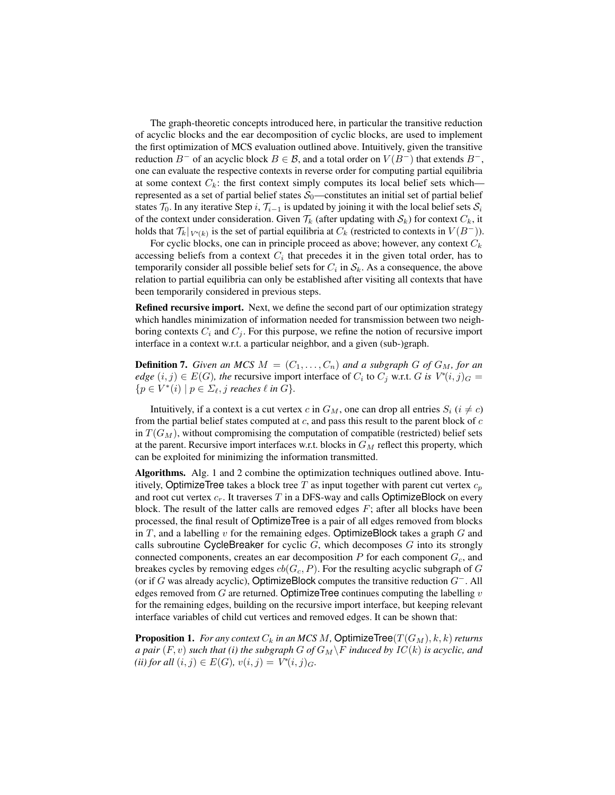The graph-theoretic concepts introduced here, in particular the transitive reduction of acyclic blocks and the ear decomposition of cyclic blocks, are used to implement the first optimization of MCS evaluation outlined above. Intuitively, given the transitive reduction  $B^-$  of an acyclic block  $B \in \mathcal{B}$ , and a total order on  $V(B^-)$  that extends  $B^-$ , one can evaluate the respective contexts in reverse order for computing partial equilibria at some context  $C_k$ : the first context simply computes its local belief sets which represented as a set of partial belief states  $S_0$ —constitutes an initial set of partial belief states  $\mathcal{T}_0$ . In any iterative Step i,  $\mathcal{T}_{i-1}$  is updated by joining it with the local belief sets  $\mathcal{S}_i$ of the context under consideration. Given  $\mathcal{T}_k$  (after updating with  $\mathcal{S}_k$ ) for context  $C_k$ , it holds that  $\mathcal{T}_k|_{V^*(k)}$  is the set of partial equilibria at  $C_k$  (restricted to contexts in  $V(B^-)$ ).

For cyclic blocks, one can in principle proceed as above; however, any context  $C_k$ accessing beliefs from a context  $C_i$  that precedes it in the given total order, has to temporarily consider all possible belief sets for  $C_i$  in  $\mathcal{S}_k$ . As a consequence, the above relation to partial equilibria can only be established after visiting all contexts that have been temporarily considered in previous steps.

Refined recursive import. Next, we define the second part of our optimization strategy which handles minimization of information needed for transmission between two neighboring contexts  $C_i$  and  $C_j$ . For this purpose, we refine the notion of recursive import interface in a context w.r.t. a particular neighbor, and a given (sub-)graph.

**Definition 7.** *Given an MCS*  $M = (C_1, \ldots, C_n)$  *and a subgraph G of*  $G_M$ *, for an*  $edge (i, j) \in E(G)$ , the recursive import interface of  $C_i$  to  $C_j$  w.r.t. G is  $V^*(i, j)_G =$  $\{p \in V^*(i) \mid p \in \Sigma_\ell, j \text{ reaches } \ell \text{ in } G\}.$ 

Intuitively, if a context is a cut vertex c in  $G_M$ , one can drop all entries  $S_i$  ( $i \neq c$ ) from the partial belief states computed at  $c$ , and pass this result to the parent block of  $c$ in  $T(G_M)$ , without compromising the computation of compatible (restricted) belief sets at the parent. Recursive import interfaces w.r.t. blocks in  $G_M$  reflect this property, which can be exploited for minimizing the information transmitted.

Algorithms. Alg. 1 and 2 combine the optimization techniques outlined above. Intuitively, OptimizeTree takes a block tree T as input together with parent cut vertex  $c_p$ and root cut vertex  $c_r$ . It traverses T in a DFS-way and calls OptimizeBlock on every block. The result of the latter calls are removed edges  $F$ ; after all blocks have been processed, the final result of OptimizeTree is a pair of all edges removed from blocks in  $T$ , and a labelling  $v$  for the remaining edges. OptimizeBlock takes a graph  $G$  and calls subroutine CycleBreaker for cyclic  $G$ , which decomposes  $G$  into its strongly connected components, creates an ear decomposition  $P$  for each component  $G_c$ , and breakes cycles by removing edges  $cb(G_c, P)$ . For the resulting acyclic subgraph of G (or if G was already acyclic), OptimizeBlock computes the transitive reduction  $G^-$ . All edges removed from G are returned. Optimize Tree continues computing the labelling  $v$ for the remaining edges, building on the recursive import interface, but keeping relevant interface variables of child cut vertices and removed edges. It can be shown that:

**Proposition 1.** For any context  $C_k$  in an MCS M, Optimize Tree( $T(G_M)$ , k, k) returns *a pair*  $(F, v)$  *such that (i) the subgraph G of*  $G_M \ F$  *induced by IC*( $k$ ) *is acyclic, and*  $(ii)$  for all  $(i, j) \in E(G)$ ,  $v(i, j) = V^*(i, j)_G$ .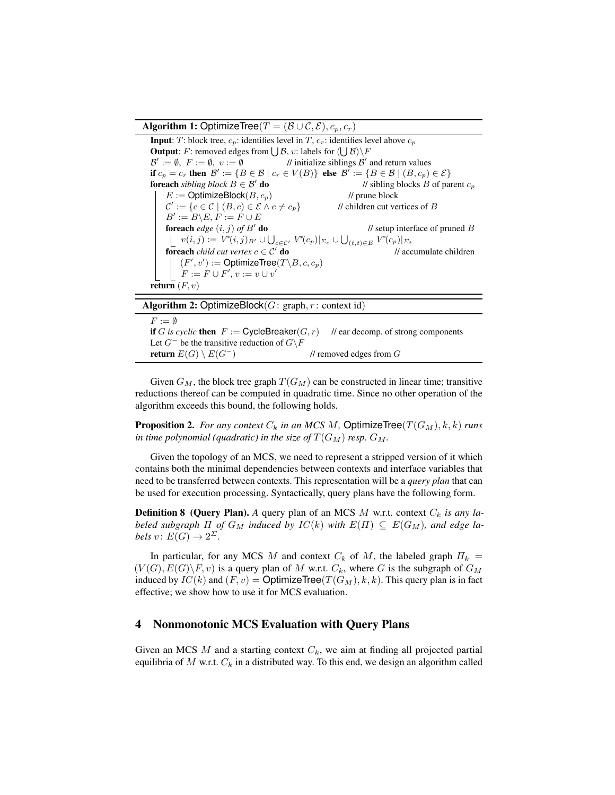Algorithm 1: OptimizeTree $(T = (\mathcal{B} \cup \mathcal{C}, \mathcal{E}), c_p, c_r)$ 

**Input:** T: block tree,  $c_p$ : identifies level in T,  $c_r$ : identifies level above  $c_p$ **Output**: F: removed edges from  $\bigcup \mathcal{B}$ , v: labels for  $(\bigcup \mathcal{B})\backslash F$  $\mathcal{B}' := \emptyset$ ,  $F := \emptyset$ ,  $v := \emptyset$  // initialize siblings  $\mathcal{B}$ ' and return values if  $c_p = c_r$  then  $\mathcal{B}' := \{B \in \mathcal{B} \mid c_r \in V(B)\}$  else  $\mathcal{B}' := \{B \in \mathcal{B} \mid (B, c_p) \in \mathcal{E}\}$ **foreach** *sibling block*  $B \in \mathcal{B}'$  **do** // sibling blocks  $B$  of parent  $c_p$  $E := \text{OptimizeBlock}(B, c_p)$  // prune block  $\mathcal{C}' := \{c \in \mathcal{C} \mid (B, c) \in \mathcal{E} \land c \neq c_p\}$  // children cut vertices of B  $B' := B \backslash E, F := F \cup E$ **foreach** *edge*  $(i, j)$  *of*  $B'$  $\theta$  // setup interface of pruned  $B$  $v(i, j) := V^*(i, j)_{B'} \cup \bigcup_{c \in C'} V^*(c_p)|_{\Sigma_c} \cup \bigcup_{(\ell, t) \in E} V^*(c_p)|_{\Sigma_t}$ foreach *child cut vertex*  $c \in \mathcal{C}'$  do // accumulate children  $(F', v') := \text{OptimizeTree}(T \backslash B, c, c_p)$  $F := F \cup F', v := v \cup v'$ return  $(F, v)$ 

| <b>Algorithm 2: OptimizeBlock</b> ( $G$ : graph, $r$ : context id)         |                                     |  |  |  |  |  |  |
|----------------------------------------------------------------------------|-------------------------------------|--|--|--|--|--|--|
| $F := \emptyset$<br>if G is cyclic then $F := \mathsf{CycleBreaker}(G, r)$ | // ear decomp. of strong components |  |  |  |  |  |  |
| Let $G^-$ be the transitive reduction of $G \backslash F$                  |                                     |  |  |  |  |  |  |
| return $E(G) \setminus E(G^-)$                                             | $\ell$ removed edges from $G$       |  |  |  |  |  |  |

Given  $G_M$ , the block tree graph  $T(G_M)$  can be constructed in linear time; transitive reductions thereof can be computed in quadratic time. Since no other operation of the algorithm exceeds this bound, the following holds.

**Proposition 2.** For any context  $C_k$  in an MCS M, Optimize Tree( $T(G_M)$ , k, k) runs *in time polynomial (quadratic) in the size of*  $T(G_M)$  *resp.*  $G_M$ .

Given the topology of an MCS, we need to represent a stripped version of it which contains both the minimal dependencies between contexts and interface variables that need to be transferred between contexts. This representation will be a *query plan* that can be used for execution processing. Syntactically, query plans have the following form.

**Definition 8 (Query Plan).** A query plan of an MCS  $M$  w.r.t. context  $C_k$  is any la*beled subgraph*  $\Pi$  *of*  $G_M$  *induced by*  $IC(k)$  *with*  $E(\Pi) \subseteq E(G_M)$ *, and edge labels*  $v: E(G) \to 2^{\Sigma}$ .

In particular, for any MCS M and context  $C_k$  of M, the labeled graph  $\Pi_k =$  $(V(G), E(G) \backslash F, v)$  is a query plan of M w.r.t.  $C_k$ , where G is the subgraph of  $G_M$ induced by  $IC(k)$  and  $(F, v) = \text{OptimizeTree}(T(G_M), k, k)$ . This query plan is in fact effective; we show how to use it for MCS evaluation.

### 4 Nonmonotonic MCS Evaluation with Query Plans

Given an MCS  $M$  and a starting context  $C_k$ , we aim at finding all projected partial equilibria of  $M$  w.r.t.  $C_k$  in a distributed way. To this end, we design an algorithm called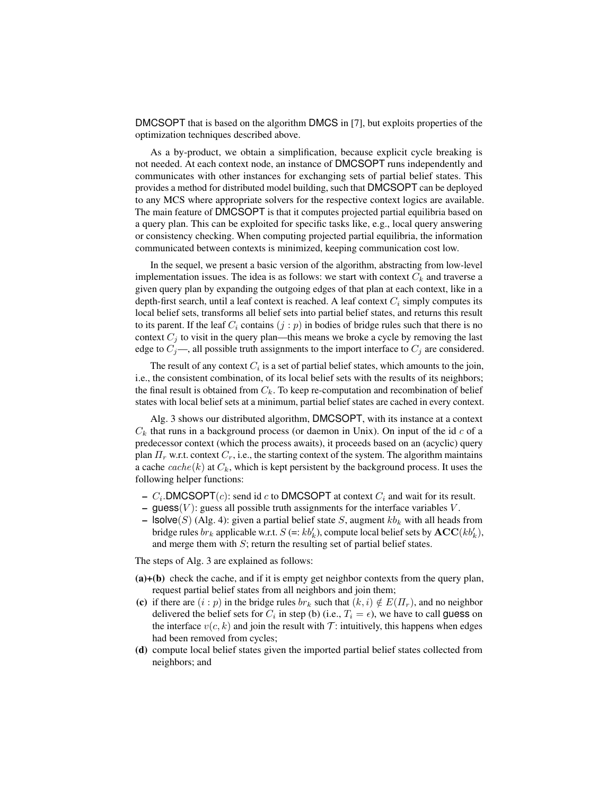DMCSOPT that is based on the algorithm DMCS in [7], but exploits properties of the optimization techniques described above.

As a by-product, we obtain a simplification, because explicit cycle breaking is not needed. At each context node, an instance of DMCSOPT runs independently and communicates with other instances for exchanging sets of partial belief states. This provides a method for distributed model building, such that DMCSOPT can be deployed to any MCS where appropriate solvers for the respective context logics are available. The main feature of DMCSOPT is that it computes projected partial equilibria based on a query plan. This can be exploited for specific tasks like, e.g., local query answering or consistency checking. When computing projected partial equilibria, the information communicated between contexts is minimized, keeping communication cost low.

In the sequel, we present a basic version of the algorithm, abstracting from low-level implementation issues. The idea is as follows: we start with context  $C_k$  and traverse a given query plan by expanding the outgoing edges of that plan at each context, like in a depth-first search, until a leaf context is reached. A leaf context  $C_i$  simply computes its local belief sets, transforms all belief sets into partial belief states, and returns this result to its parent. If the leaf  $C_i$  contains  $(j : p)$  in bodies of bridge rules such that there is no context  $C_j$  to visit in the query plan—this means we broke a cycle by removing the last edge to  $C_i$ —, all possible truth assignments to the import interface to  $C_i$  are considered.

The result of any context  $C_i$  is a set of partial belief states, which amounts to the join, i.e., the consistent combination, of its local belief sets with the results of its neighbors; the final result is obtained from  $C_k$ . To keep re-computation and recombination of belief states with local belief sets at a minimum, partial belief states are cached in every context.

Alg. 3 shows our distributed algorithm, DMCSOPT, with its instance at a context  $C_k$  that runs in a background process (or daemon in Unix). On input of the id c of a predecessor context (which the process awaits), it proceeds based on an (acyclic) query plan  $\Pi_r$  w.r.t. context  $C_r$ , i.e., the starting context of the system. The algorithm maintains a cache  $cache(k)$  at  $C_k$ , which is kept persistent by the background process. It uses the following helper functions:

- $C_i$ . DMCSOPT $(c)$ : send id  $c$  to DMCSOPT at context  $C_i$  and wait for its result.
- guess( $V$ ): guess all possible truth assignments for the interface variables  $V$ .
- $\mathsf{lsolve}(S)$  (Alg. 4): given a partial belief state S, augment  $kb_k$  with all heads from bridge rules  $br_k$  applicable w.r.t.  $S (= : kb'_k)$ , compute local belief sets by  $\mathbf{ACC}(kb'_k)$ , and merge them with  $S$ ; return the resulting set of partial belief states.

The steps of Alg. 3 are explained as follows:

- $(a)+(b)$  check the cache, and if it is empty get neighbor contexts from the query plan, request partial belief states from all neighbors and join them;
- (c) if there are  $(i : p)$  in the bridge rules  $br_k$  such that  $(k, i) \notin E(\Pi_r)$ , and no neighbor delivered the belief sets for  $C_i$  in step (b) (i.e.,  $T_i = \epsilon$ ), we have to call guess on the interface  $v(c, k)$  and join the result with  $\mathcal{T}$ : intuitively, this happens when edges had been removed from cycles;
- (d) compute local belief states given the imported partial belief states collected from neighbors; and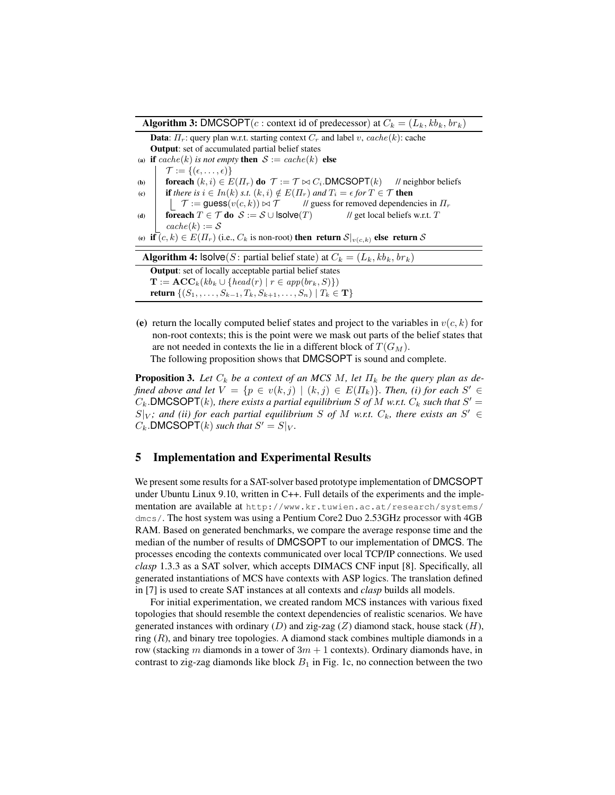**Algorithm 3:** DMCSOPT( $c$ : context id of predecessor) at  $C_k = (L_k, kb_k, br_k)$ 

**Data**:  $\Pi_r$ : query plan w.r.t. starting context  $C_r$  and label v, cache(k): cache Output: set of accumulated partial belief states (a) if  $cache(k)$  *is not empty* then  $S := cache(k)$  else  $\mathcal{T} := \{(\epsilon, \ldots, \epsilon)\}\;$ (b) foreach  $(k, i) \in E(\Pi_r)$  do  $\mathcal{T} := \mathcal{T} \bowtie C_i$ . DMCSOPT $(k)$  // neighbor beliefs (c) if *there is*  $i \in In(k)$  *s.t.*  $(k, i) \notin E(\Pi_r)$  *and*  $T_i = \epsilon$  *for*  $T \in \mathcal{T}$  **then**  $\Box$   $\mathcal{T} := \text{guess}(v(c, k)) \bowtie \mathcal{T}$  // guess for removed dependencies in  $\Pi_r$ (d) for each  $T \in \mathcal{T}$  do  $S := S \cup$  Isolve $(T)$  // get local beliefs w.r.t. T  $cache(k) := S$ (e) if  $(c, k) \in E(\Pi_r)$  (i.e.,  $C_k$  is non-root) then return  $S|_{v(c,k)}$  else return S **Algorithm 4:**  $\textsf{lsolve}(S: \text{ partial belief state})$  at  $C_k = (L_k, kb_k, br_k)$ Output: set of locally acceptable partial belief states  $\mathbf{T} := \mathbf{ACC}_k(kb_k \cup \{head(r) \mid r \in app(br_k, S)\})$ return  $\{(S_1, \ldots, S_{k-1}, T_k, S_{k+1}, \ldots, S_n) | T_k \in \mathbf{T}\}\$ 

(e) return the locally computed belief states and project to the variables in  $v(c, k)$  for non-root contexts; this is the point were we mask out parts of the belief states that are not needed in contexts the lie in a different block of  $T(G_M)$ . The following proposition shows that DMCSOPT is sound and complete.

**Proposition 3.** Let  $C_k$  be a context of an MCS M, let  $\Pi_k$  be the query plan as de*fined above and let*  $V = \{p \in v(k,j) \mid (k,j) \in E(\Pi_k)\}$ . *Then, (i) for each*  $S' \in$  $C_k$ .**DMCSOPT** $(k)$ , there exists a partial equilibrium S of M w.r.t.  $C_k$  such that  $S' =$  $S|_V$ ; and (ii) for each partial equilibrium S of M w.r.t.  $C_k$ , there exists an  $S' \in$  $C_k$ .DMCSOPT $(k)$  *such that*  $S' = S|_V$ *.* 

## 5 Implementation and Experimental Results

We present some results for a SAT-solver based prototype implementation of DMCSOPT under Ubuntu Linux 9.10, written in C++. Full details of the experiments and the implementation are available at http://www.kr.tuwien.ac.at/research/systems/ dmcs/. The host system was using a Pentium Core2 Duo 2.53GHz processor with 4GB RAM. Based on generated benchmarks, we compare the average response time and the median of the number of results of DMCSOPT to our implementation of DMCS. The processes encoding the contexts communicated over local TCP/IP connections. We used *clasp* 1.3.3 as a SAT solver, which accepts DIMACS CNF input [8]. Specifically, all generated instantiations of MCS have contexts with ASP logics. The translation defined in [7] is used to create SAT instances at all contexts and *clasp* builds all models.

For initial experimentation, we created random MCS instances with various fixed topologies that should resemble the context dependencies of realistic scenarios. We have generated instances with ordinary  $(D)$  and zig-zag  $(Z)$  diamond stack, house stack  $(H)$ , ring  $(R)$ , and binary tree topologies. A diamond stack combines multiple diamonds in a row (stacking m diamonds in a tower of  $3m + 1$  contexts). Ordinary diamonds have, in contrast to zig-zag diamonds like block  $B_1$  in Fig. 1c, no connection between the two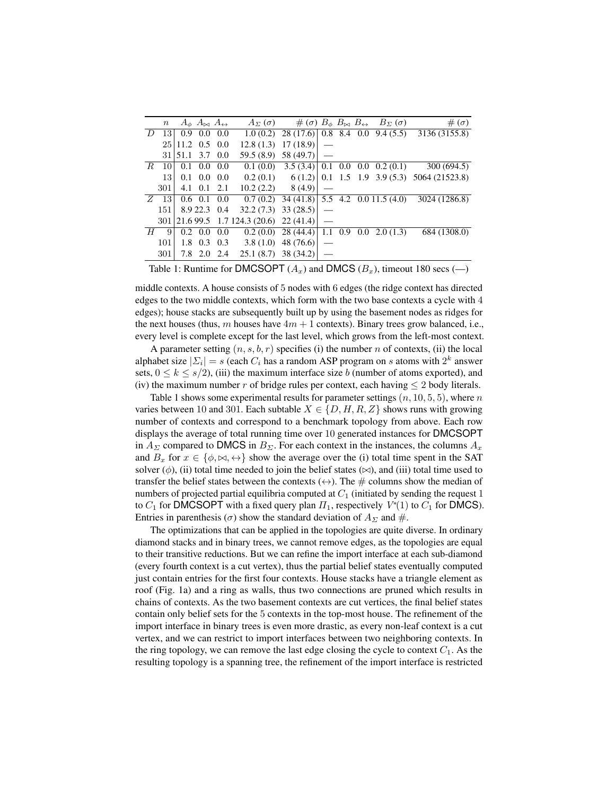|                | $\boldsymbol{n}$  |                       | $A_{\phi}$ $A_{\bowtie}$ $A_{\leftrightarrow}$ | $A_{\Sigma}(\sigma)$                                 |                       |  | $#(\sigma) B_{\phi} B_{\bowtie} B_{\leftrightarrow} B_{\Sigma} (\sigma)$ | $\#(\sigma)$                                                         |
|----------------|-------------------|-----------------------|------------------------------------------------|------------------------------------------------------|-----------------------|--|--------------------------------------------------------------------------|----------------------------------------------------------------------|
| $\overline{D}$ | <sup>13</sup>     |                       | $0.9\quad 0.0\quad 0.0$                        |                                                      |                       |  |                                                                          | 1.0 (0.2) 28 (17.6) 0.8 8.4 0.0 9.4 (5.5) 3136 (3155.8)              |
|                |                   | $25 11.2 \t0.5 \t0.0$ |                                                |                                                      | $12.8(1.3)$ 17 (18.9) |  |                                                                          |                                                                      |
|                |                   | 31 51.1               | 3.7 0.0                                        | $59.5(8.9) 58(49.7)$ —                               |                       |  |                                                                          |                                                                      |
| $R_{-}$        | -10 <sup>-1</sup> |                       | $0.1 \quad 0.0 \quad 0.0$                      |                                                      |                       |  |                                                                          | $0.1(0.0)$ 3.5 (3.4)   0.1 0.0 0.0 0.2 (0.1) 300 (694.5)             |
|                | 13 <sub>1</sub>   |                       | $0.1\ 0.0\ 0.0$                                |                                                      |                       |  |                                                                          | $0.2(0.1)$ 6(1.2) 0.1 1.5 1.9 3.9(5.3) 5064(21523.8)                 |
|                | 301               |                       | $4.1 \quad 0.1 \quad 2.1$                      | $10.2(2.2)$ 8(4.9)                                   |                       |  |                                                                          |                                                                      |
|                | $Z$ 13            |                       |                                                |                                                      |                       |  |                                                                          | 0.6 0.1 0.0 0.7 (0.2) 34 (41.8) 5.5 4.2 0.0 11.5 (4.0) 3024 (1286.8) |
|                | 151 <sup>1</sup>  |                       | 8.9 22.3 0.4                                   | $32.2(7.3)$ 33 (28.5)   -                            |                       |  |                                                                          |                                                                      |
|                |                   |                       |                                                | $301 21.699.5 \quad 1.7124.3(20.6) \quad 22(41.4)$ — |                       |  |                                                                          |                                                                      |
| H              | 9                 |                       | $0.2\quad 0.0\quad 0.0$                        |                                                      | $0.2(0.0)$ 28 (44.4)  |  | $1.1 \t0.9 \t0.0 \t2.0 \t(1.3)$                                          | 684 (1308.0)                                                         |
|                | 101               |                       |                                                | 1.8 0.3 0.3 3.8 (1.0) 48 (76.6)                      |                       |  |                                                                          |                                                                      |
|                | 301               |                       |                                                | 7.8 2.0 2.4 25.1 (8.7) 38 (34.2)                     |                       |  |                                                                          |                                                                      |

| Table 1: Runtime for DMCSOPT $(A_x)$ and DMCS $(B_x)$ , timeout 180 secs $(-)$ |  |
|--------------------------------------------------------------------------------|--|
|                                                                                |  |

middle contexts. A house consists of 5 nodes with 6 edges (the ridge context has directed edges to the two middle contexts, which form with the two base contexts a cycle with 4 edges); house stacks are subsequently built up by using the basement nodes as ridges for the next houses (thus, m houses have  $4m + 1$  contexts). Binary trees grow balanced, i.e., every level is complete except for the last level, which grows from the left-most context.

A parameter setting  $(n, s, b, r)$  specifies (i) the number n of contexts, (ii) the local alphabet size  $|\Sigma_i|=s$  (each  $C_i$  has a random ASP program on s atoms with  $2^k$  answer sets,  $0 \le k \le s/2$ , (iii) the maximum interface size b (number of atoms exported), and (iv) the maximum number r of bridge rules per context, each having  $\leq 2$  body literals.

Table 1 shows some experimental results for parameter settings  $(n, 10, 5, 5)$ , where n varies between 10 and 301. Each subtable  $X \in \{D, H, R, Z\}$  shows runs with growing number of contexts and correspond to a benchmark topology from above. Each row displays the average of total running time over 10 generated instances for DMCSOPT in  $A_{\Sigma}$  compared to DMCS in  $B_{\Sigma}$ . For each context in the instances, the columns  $A_{x}$ and  $B_x$  for  $x \in \{\phi, \bowtie, \leftrightarrow\}$  show the average over the (i) total time spent in the SAT solver  $(\phi)$ , (ii) total time needed to join the belief states ( $\bowtie$ ), and (iii) total time used to transfer the belief states between the contexts  $(\leftrightarrow)$ . The # columns show the median of numbers of projected partial equilibria computed at  $C_1$  (initiated by sending the request 1 to  $C_1$  for DMCSOPT with a fixed query plan  $\Pi_1$ , respectively  $V^*(1)$  to  $C_1$  for DMCS). Entries in parenthesis ( $\sigma$ ) show the standard deviation of  $A_{\Sigma}$  and  $\#$ .

The optimizations that can be applied in the topologies are quite diverse. In ordinary diamond stacks and in binary trees, we cannot remove edges, as the topologies are equal to their transitive reductions. But we can refine the import interface at each sub-diamond (every fourth context is a cut vertex), thus the partial belief states eventually computed just contain entries for the first four contexts. House stacks have a triangle element as roof (Fig. 1a) and a ring as walls, thus two connections are pruned which results in chains of contexts. As the two basement contexts are cut vertices, the final belief states contain only belief sets for the 5 contexts in the top-most house. The refinement of the import interface in binary trees is even more drastic, as every non-leaf context is a cut vertex, and we can restrict to import interfaces between two neighboring contexts. In the ring topology, we can remove the last edge closing the cycle to context  $C_1$ . As the resulting topology is a spanning tree, the refinement of the import interface is restricted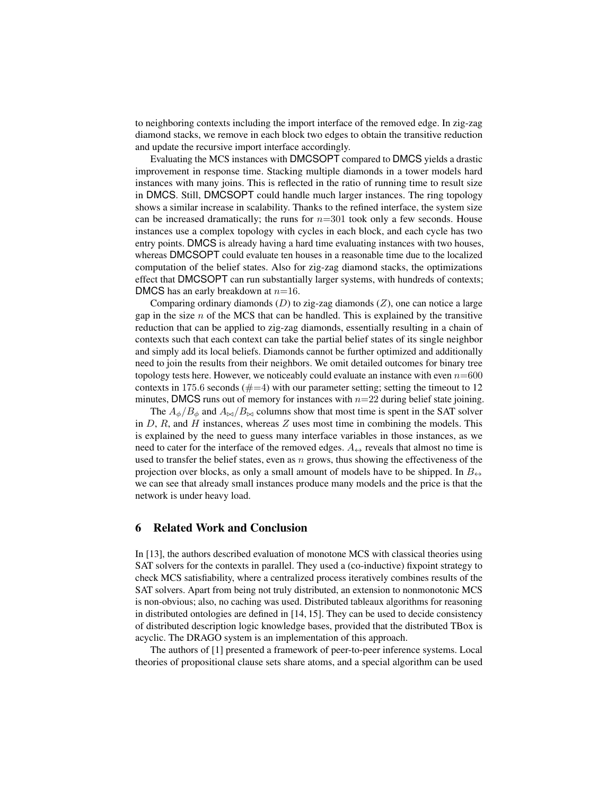to neighboring contexts including the import interface of the removed edge. In zig-zag diamond stacks, we remove in each block two edges to obtain the transitive reduction and update the recursive import interface accordingly.

Evaluating the MCS instances with DMCSOPT compared to DMCS yields a drastic improvement in response time. Stacking multiple diamonds in a tower models hard instances with many joins. This is reflected in the ratio of running time to result size in DMCS. Still, DMCSOPT could handle much larger instances. The ring topology shows a similar increase in scalability. Thanks to the refined interface, the system size can be increased dramatically; the runs for  $n=301$  took only a few seconds. House instances use a complex topology with cycles in each block, and each cycle has two entry points. DMCS is already having a hard time evaluating instances with two houses, whereas DMCSOPT could evaluate ten houses in a reasonable time due to the localized computation of the belief states. Also for zig-zag diamond stacks, the optimizations effect that DMCSOPT can run substantially larger systems, with hundreds of contexts; DMCS has an early breakdown at  $n=16$ .

Comparing ordinary diamonds  $(D)$  to zig-zag diamonds  $(Z)$ , one can notice a large gap in the size  $n$  of the MCS that can be handled. This is explained by the transitive reduction that can be applied to zig-zag diamonds, essentially resulting in a chain of contexts such that each context can take the partial belief states of its single neighbor and simply add its local beliefs. Diamonds cannot be further optimized and additionally need to join the results from their neighbors. We omit detailed outcomes for binary tree topology tests here. However, we noticeably could evaluate an instance with even  $n=600$ contexts in 175.6 seconds ( $\#=4$ ) with our parameter setting; setting the timeout to 12 minutes, DMCS runs out of memory for instances with  $n=22$  during belief state joining.

The  $A_{\phi}/B_{\phi}$  and  $A_{\bowtie}/B_{\bowtie}$  columns show that most time is spent in the SAT solver in  $D$ ,  $R$ , and  $H$  instances, whereas  $Z$  uses most time in combining the models. This is explained by the need to guess many interface variables in those instances, as we need to cater for the interface of the removed edges.  $A_{\leftrightarrow}$  reveals that almost no time is used to transfer the belief states, even as  $n$  grows, thus showing the effectiveness of the projection over blocks, as only a small amount of models have to be shipped. In  $B_{\leftrightarrow}$ we can see that already small instances produce many models and the price is that the network is under heavy load.

#### 6 Related Work and Conclusion

In [13], the authors described evaluation of monotone MCS with classical theories using SAT solvers for the contexts in parallel. They used a (co-inductive) fixpoint strategy to check MCS satisfiability, where a centralized process iteratively combines results of the SAT solvers. Apart from being not truly distributed, an extension to nonmonotonic MCS is non-obvious; also, no caching was used. Distributed tableaux algorithms for reasoning in distributed ontologies are defined in [14, 15]. They can be used to decide consistency of distributed description logic knowledge bases, provided that the distributed TBox is acyclic. The DRAGO system is an implementation of this approach.

The authors of [1] presented a framework of peer-to-peer inference systems. Local theories of propositional clause sets share atoms, and a special algorithm can be used